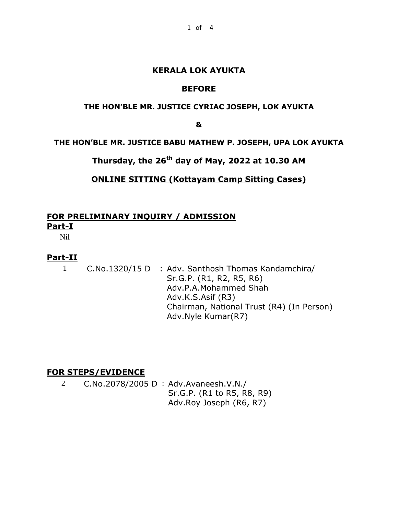#### **KERALA LOK AYUKTA**

## **BEFORE**

#### **THE HON'BLE MR. JUSTICE CYRIAC JOSEPH, LOK AYUKTA**

**&**

**THE HON'BLE MR. JUSTICE BABU MATHEW P. JOSEPH, UPA LOK AYUKTA**

**Thursday, the 26th day of May, 2022 at 10.30 AM**

## **ONLINE SITTING (Kottayam Camp Sitting Cases)**

# **FOR PRELIMINARY INQUIRY / ADMISSION Part-I**

Nil

### **Part-II**

1 C.No.1320/15 D : Adv. Santhosh Thomas Kandamchira/ Sr.G.P. (R1, R2, R5, R6) Adv.P.A.Mohammed Shah Adv.K.S.Asif (R3) Chairman, National Trust (R4) (In Person) Adv.Nyle Kumar(R7)

### **FOR STEPS/EVIDENCE**

2 C.No.2078/2005 D : Adv.Avaneesh.V.N./ Sr.G.P. (R1 to R5, R8, R9) Adv.Roy Joseph (R6, R7)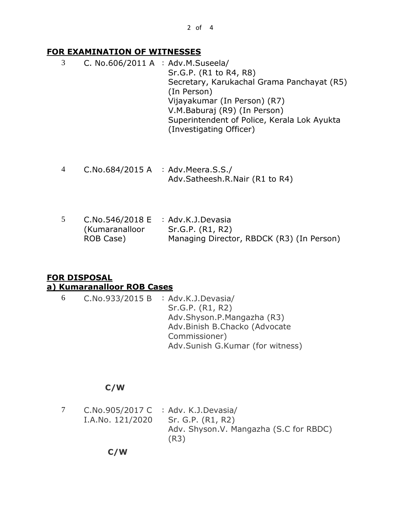## **FOR EXAMINATION OF WITNESSES**

- 3 C. No.606/2011 A : Adv.M.Suseela/ Sr.G.P. (R1 to R4, R8) Secretary, Karukachal Grama Panchayat (R5) (In Person) Vijayakumar (In Person) (R7) V.M.Baburaj (R9) (In Person) Superintendent of Police, Kerala Lok Ayukta (Investigating Officer)
- 4 C.No.684/2015 A : Adv.Meera.S.S./ Adv.Satheesh.R.Nair (R1 to R4)
- 5 C.No.546/2018 E : Adv.K.J.Devasia (Kumaranalloor ROB Case) Sr.G.P. (R1, R2) Managing Director, RBDCK (R3) (In Person)

# **FOR DISPOSAL a) Kumaranalloor ROB Cases**

6 C.No.933/2015 B : Adv.K.J.Devasia/ Sr.G.P. (R1, R2) Adv.Shyson.P.Mangazha (R3) Adv.Binish B.Chacko (Advocate Commissioner) Adv.Sunish G.Kumar (for witness)

## **C/W**

7 C.No.905/2017 C : Adv. K.J.Devasia/ I.A.No. 121/2020 Sr. G.P. (R1, R2) Adv. Shyson.V. Mangazha (S.C for RBDC) (R3)

 **C/W**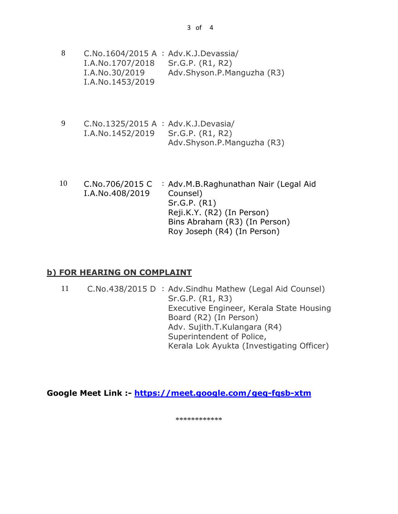| 8 | C.No.1604/2015 A : Adv.K.J.Devassia/ |                            |  |
|---|--------------------------------------|----------------------------|--|
|   | I.A.No.1707/2018                     | Sr.G.P. (R1, R2)           |  |
|   | I.A.No.30/2019                       | Adv.Shyson.P.Manguzha (R3) |  |
|   | I.A.No.1453/2019                     |                            |  |

- 9 C.No.1325/2015 A : Adv.K.J.Devasia/ I.A.No.1452/2019 Sr.G.P. (R1, R2) Adv.Shyson.P.Manguzha (R3)
- 10 C.No.706/2015 C I.A.No.408/2019 : Adv.M.B.Raghunathan Nair (Legal Aid Counsel) Sr.G.P. (R1) Reji.K.Y. (R2) (In Person) Bins Abraham (R3) (In Person) Roy Joseph (R4) (In Person)

### **b) FOR HEARING ON COMPLAINT**

11 C.No.438/2015 D : Adv.Sindhu Mathew (Legal Aid Counsel) Sr.G.P. (R1, R3) Executive Engineer, Kerala State Housing Board (R2) (In Person) Adv. Sujith.T.Kulangara (R4) Superintendent of Police, Kerala Lok Ayukta (Investigating Officer)

**Google Meet Link :- <https://meet.google.com/geq-fqsb-xtm>**

\*\*\*\*\*\*\*\*\*\*\*\*